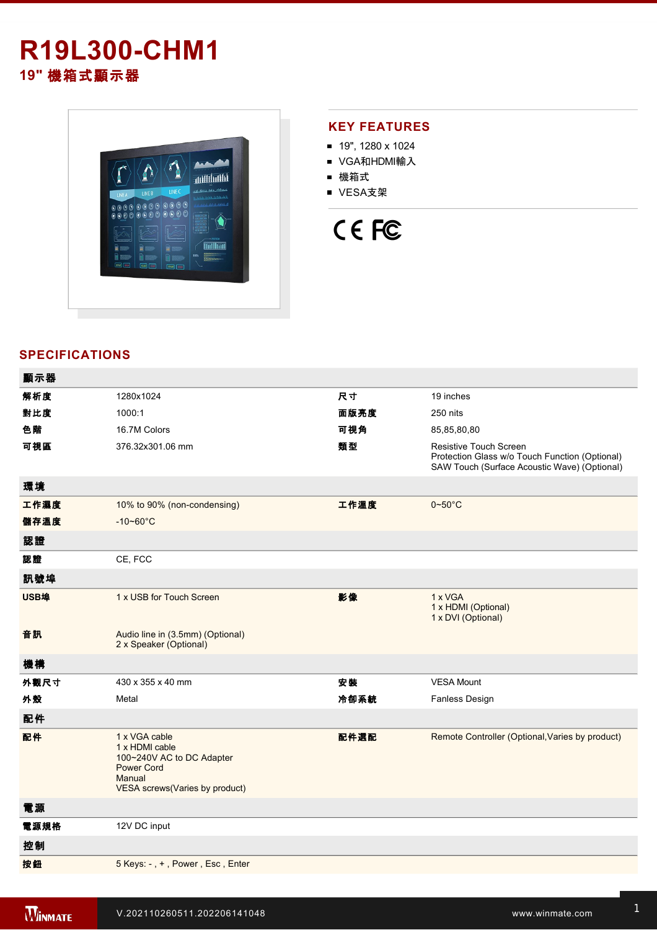# **R19L300-CHM1 19"** 機箱式顯示器



#### **KEY FEATURES**

- 19", 1280 x 1024
- VGA和HDMI輸入
- 機箱式
- VESA支架

# CE FC

### **SPECIFICATIONS**

| 顯示器  |                                                                                                                                      |      |                                                                                                                                 |
|------|--------------------------------------------------------------------------------------------------------------------------------------|------|---------------------------------------------------------------------------------------------------------------------------------|
| 解析度  | 1280x1024                                                                                                                            | 尺寸   | 19 inches                                                                                                                       |
| 對比度  | 1000:1                                                                                                                               | 面版亮度 | 250 nits                                                                                                                        |
| 色階   | 16.7M Colors                                                                                                                         | 可視角  | 85,85,80,80                                                                                                                     |
| 可視區  | 376.32x301.06 mm                                                                                                                     | 類型   | <b>Resistive Touch Screen</b><br>Protection Glass w/o Touch Function (Optional)<br>SAW Touch (Surface Acoustic Wave) (Optional) |
| 環境   |                                                                                                                                      |      |                                                                                                                                 |
| 工作濕度 | 10% to 90% (non-condensing)                                                                                                          | 工作溫度 | $0 - 50$ °C                                                                                                                     |
| 儲存溫度 | $-10 - 60^{\circ}C$                                                                                                                  |      |                                                                                                                                 |
| 認證   |                                                                                                                                      |      |                                                                                                                                 |
| 認證   | CE, FCC                                                                                                                              |      |                                                                                                                                 |
| 訊號埠  |                                                                                                                                      |      |                                                                                                                                 |
| USB埠 | 1 x USB for Touch Screen                                                                                                             | 影像   | 1 x VGA<br>1 x HDMI (Optional)<br>1 x DVI (Optional)                                                                            |
| 音訊   | Audio line in (3.5mm) (Optional)<br>2 x Speaker (Optional)                                                                           |      |                                                                                                                                 |
| 機構   |                                                                                                                                      |      |                                                                                                                                 |
| 外觀尺寸 | 430 x 355 x 40 mm                                                                                                                    | 安裝   | <b>VESA Mount</b>                                                                                                               |
| 外殼   | Metal                                                                                                                                | 冷卻系統 | Fanless Design                                                                                                                  |
| 配件   |                                                                                                                                      |      |                                                                                                                                 |
| 配件   | 1 x VGA cable<br>1 x HDMI cable<br>100~240V AC to DC Adapter<br><b>Power Cord</b><br>Manual<br><b>VESA screws(Varies by product)</b> | 配件選配 | Remote Controller (Optional, Varies by product)                                                                                 |
| 電源   |                                                                                                                                      |      |                                                                                                                                 |
| 電源規格 | 12V DC input                                                                                                                         |      |                                                                                                                                 |
| 控制   |                                                                                                                                      |      |                                                                                                                                 |
| 按鈕   | 5 Keys: -, +, Power, Esc, Enter                                                                                                      |      |                                                                                                                                 |